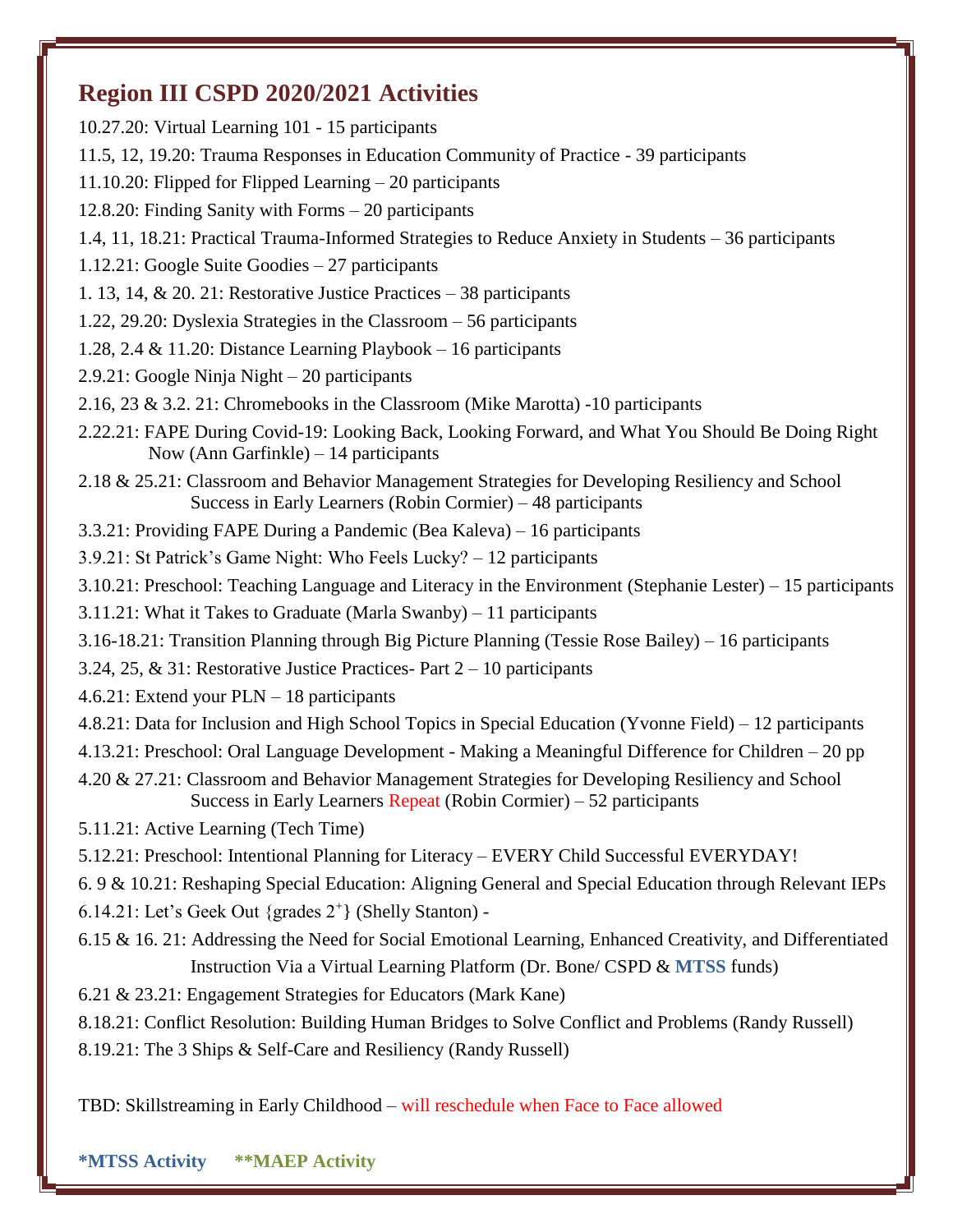## **Region III CSPD 2020/2021 Activities**

10.27.20: Virtual Learning 101 - 15 participants 11.5, 12, 19.20: Trauma Responses in Education Community of Practice - 39 participants 11.10.20: Flipped for Flipped Learning – 20 participants 12.8.20: Finding Sanity with Forms – 20 participants 1.4, 11, 18.21: Practical Trauma-Informed Strategies to Reduce Anxiety in Students – 36 participants 1.12.21: Google Suite Goodies – 27 participants 1. 13, 14, & 20. 21: Restorative Justice Practices – 38 participants 1.22, 29.20: Dyslexia Strategies in the Classroom – 56 participants 1.28, 2.4 & 11.20: Distance Learning Playbook – 16 participants 2.9.21: Google Ninja Night – 20 participants 2.16, 23 & 3.2. 21: Chromebooks in the Classroom (Mike Marotta) -10 participants 2.22.21: FAPE During Covid-19: Looking Back, Looking Forward, and What You Should Be Doing Right Now (Ann Garfinkle) – 14 participants 2.18 & 25.21: Classroom and Behavior Management Strategies for Developing Resiliency and School Success in Early Learners (Robin Cormier) – 48 participants 3.3.21: Providing FAPE During a Pandemic (Bea Kaleva) – 16 participants 3.9.21: St Patrick's Game Night: Who Feels Lucky? – 12 participants 3.10.21: Preschool: Teaching Language and Literacy in the Environment (Stephanie Lester) – 15 participants 3.11.21: What it Takes to Graduate (Marla Swanby) – 11 participants 3.16-18.21: Transition Planning through Big Picture Planning (Tessie Rose Bailey) – 16 participants 3.24, 25, & 31: Restorative Justice Practices- Part 2 – 10 participants 4.6.21: Extend your PLN – 18 participants 4.8.21: Data for Inclusion and High School Topics in Special Education (Yvonne Field) – 12 participants 4.13.21: Preschool: Oral Language Development - Making a Meaningful Difference for Children – 20 pp 4.20 & 27.21: Classroom and Behavior Management Strategies for Developing Resiliency and School Success in Early Learners Repeat (Robin Cormier) – 52 participants 5.11.21: Active Learning (Tech Time) 5.12.21: Preschool: Intentional Planning for Literacy – EVERY Child Successful EVERYDAY! 6. 9 & 10.21: Reshaping Special Education: Aligning General and Special Education through Relevant IEPs 6.14.21: Let's Geek Out {grades 2<sup>+</sup> } (Shelly Stanton) - 6.15 & 16. 21: Addressing the Need for Social Emotional Learning, Enhanced Creativity, and Differentiated Instruction Via a Virtual Learning Platform (Dr. Bone/ CSPD & **MTSS** funds) 6.21 & 23.21: Engagement Strategies for Educators (Mark Kane) 8.18.21: Conflict Resolution: Building Human Bridges to Solve Conflict and Problems (Randy Russell) 8.19.21: The 3 Ships & Self-Care and Resiliency (Randy Russell)

TBD: Skillstreaming in Early Childhood – will reschedule when Face to Face allowed